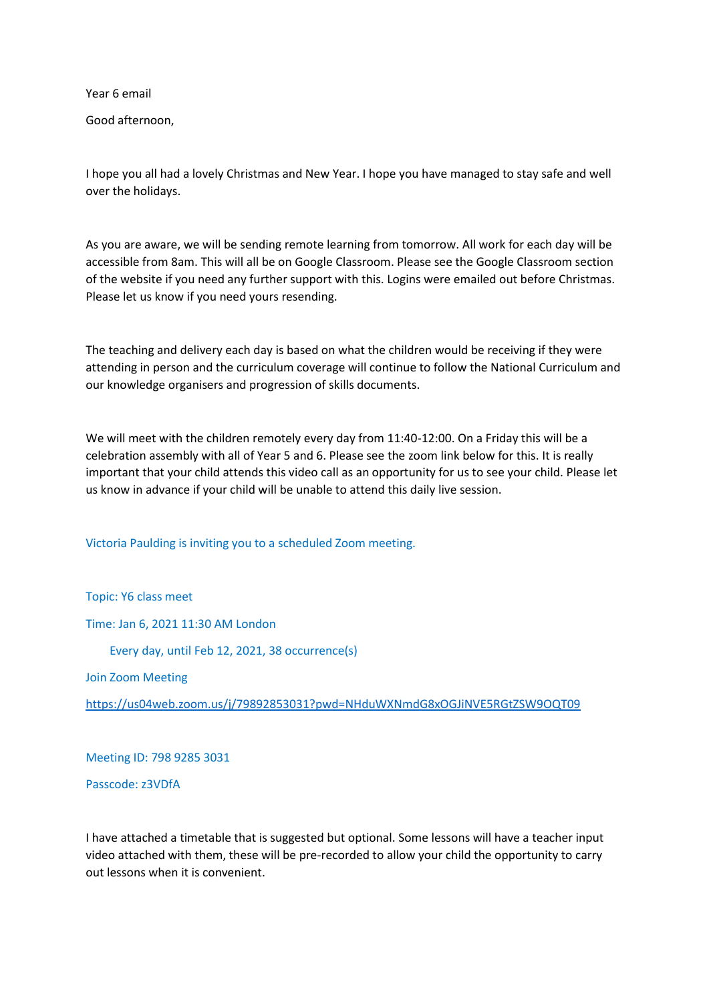Year 6 email

Good afternoon,

I hope you all had a lovely Christmas and New Year. I hope you have managed to stay safe and well over the holidays.

As you are aware, we will be sending remote learning from tomorrow. All work for each day will be accessible from 8am. This will all be on Google Classroom. Please see the Google Classroom section of the website if you need any further support with this. Logins were emailed out before Christmas. Please let us know if you need yours resending.

The teaching and delivery each day is based on what the children would be receiving if they were attending in person and the curriculum coverage will continue to follow the National Curriculum and our knowledge organisers and progression of skills documents.

We will meet with the children remotely every day from 11:40-12:00. On a Friday this will be a celebration assembly with all of Year 5 and 6. Please see the zoom link below for this. It is really important that your child attends this video call as an opportunity for us to see your child. Please let us know in advance if your child will be unable to attend this daily live session.

Victoria Paulding is inviting you to a scheduled Zoom meeting.

Topic: Y6 class meet

Time: Jan 6, 2021 11:30 AM London

Every day, until Feb 12, 2021, 38 occurrence(s)

Join Zoom Meeting

<https://us04web.zoom.us/j/79892853031?pwd=NHduWXNmdG8xOGJiNVE5RGtZSW9OQT09>

Meeting ID: 798 9285 3031

Passcode: z3VDfA

I have attached a timetable that is suggested but optional. Some lessons will have a teacher input video attached with them, these will be pre-recorded to allow your child the opportunity to carry out lessons when it is convenient.